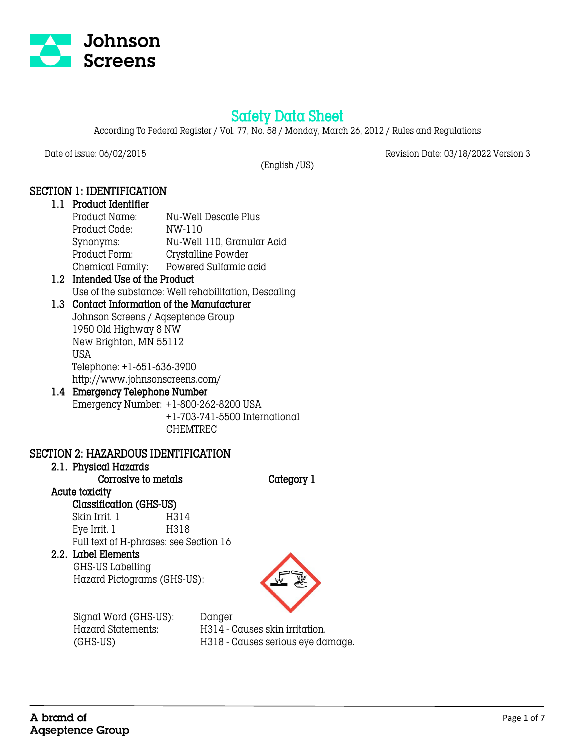

# Safety Data Sheet

According To Federal Register / Vol. 77, No. 58 / Monday, March 26, 2012 / Rules and Regulations

Date of issue: 06/02/2015 Revision Date: 03/18/2022 Version 3

(English /US)

## SECTION 1: IDENTIFICATION

#### 1.1 Product Identifier Product Name: Nu-Well Descale Plus Product Code: NW-110 Synonyms: Nu-Well 110, Granular Acid Product Form: Crystalline Powder Chemical Family: Powered Sulfamic acid

## 1.2 Intended Use of the Product Use of the substance: Well rehabilitation, Descaling

## 1.3 Contact Information of the Manufacturer

Johnson Screens / Aqseptence Group 1950 Old Highway 8 NW New Brighton, MN 55112 USA Telephone: +1-651-636-3900 http://www.johnsonscreens.com/

## 1.4 Emergency Telephone Number Emergency Number: +1-800-262-8200 USA +1-703-741-5500 International

## CHEMTREC

## SECTION 2: HAZARDOUS IDENTIFICATION

## 2.1. Physical Hazards

Corrosive to metals Category 1

#### Acute toxicity Classification (GHS-US)

Skin Irrit. 1 H314 Eye Irrit. 1 H318 Full text of H-phrases: see Section 16

## 2.2. Label Elements

 GHS-US Labelling Hazard Pictograms (GHS-US):



Signal Word (GHS-US): Danger

 Hazard Statements: H314 - Causes skin irritation. (GHS-US) H318 - Causes serious eye damage.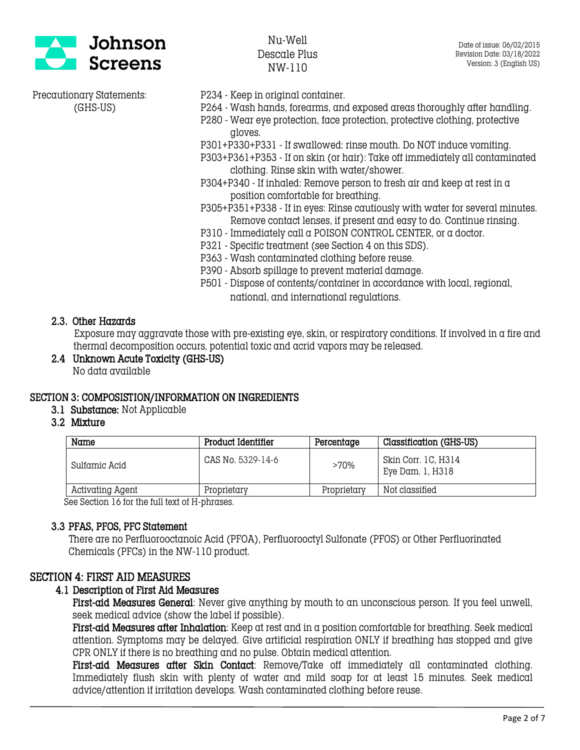

- Precautionary Statements: P234 Keep in original container.
	- (GHS-US) P264 Wash hands, forearms, and exposed areas thoroughly after handling.
		- P280 Wear eye protection, face protection, protective clothing, protective gloves.
		- P301+P330+P331 If swallowed: rinse mouth. Do NOT induce vomiting.
		- P303+P361+P353 If on skin (or hair): Take off immediately all contaminated clothing. Rinse skin with water/shower.
		- P304+P340 If inhaled: Remove person to fresh air and keep at rest in  $\alpha$ position comfortable for breathing.
		- P305+P351+P338 If in eyes: Rinse cautiously with water for several minutes. Remove contact lenses, if present and easy to do. Continue rinsing.
		- P310 Immediately call a POISON CONTROL CENTER, or a doctor.
		- P321 Specific treatment (see Section 4 on this SDS).
		- P363 Wash contaminated clothing before reuse.
		- P390 Absorb spillage to prevent material damage.
		- P501 Dispose of contents/container in accordance with local, regional, national, and international regulations.

#### 2.3. Other Hazards

 Exposure may aggravate those with pre-existing eye, skin, or respiratory conditions. If involved in a fire and thermal decomposition occurs, potential toxic and acrid vapors may be released.

2.4 Unknown Acute Toxicity (GHS-US) No data available

## SECTION 3: COMPOSISTION/INFORMATION ON INGREDIENTS

- 3.1 Substance: Not Applicable
- 3.2 Mixture

| Name             | Product Identifier | Percentage  | Classification (GHS-US)                 |
|------------------|--------------------|-------------|-----------------------------------------|
| Sulfamic Acid    | CAS No. 5329-14-6  | >70%        | Skin Corr. 1C, H314<br>Eye Dam. 1, H318 |
| Activating Agent | Proprietary        | Proprietary | Not classified                          |

See Section 16 for the full text of H-phrases.

## 3.3 PFAS, PFOS, PFC Statement

There are no Perfluorooctanoic Acid (PFOA), Perfluorooctyl Sulfonate (PFOS) or Other Perfluorinated Chemicals (PFCs) in the NW-110 product.

## SECTION 4: FIRST AID MEASURES

## 4.1 Description of First Aid Measures

First-aid Measures General: Never give anything by mouth to an unconscious person. If you feel unwell, seek medical advice (show the label if possible).

First-aid Measures after Inhalation: Keep at rest and in a position comfortable for breathing. Seek medical attention. Symptoms may be delayed. Give artificial respiration ONLY if breathing has stopped and give CPR ONLY if there is no breathing and no pulse. Obtain medical attention.

First-aid Measures after Skin Contact: Remove/Take off immediately all contaminated clothing. Immediately flush skin with plenty of water and mild soap for at least 15 minutes. Seek medical advice/attention if irritation develops. Wash contaminated clothing before reuse.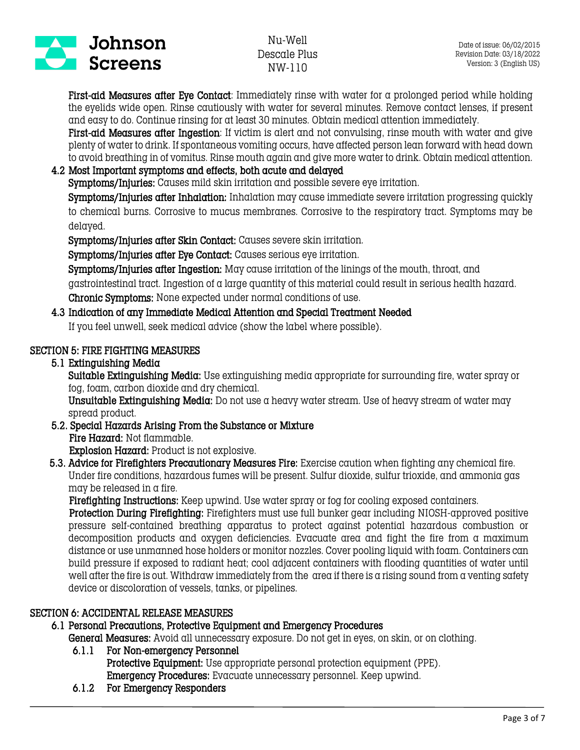

First-aid Measures after Eye Contact: Immediately rinse with water for a prolonged period while holding the eyelids wide open. Rinse cautiously with water for several minutes. Remove contact lenses, if present and easy to do. Continue rinsing for at least 30 minutes. Obtain medical attention immediately.

First-aid Measures after Ingestion: If victim is alert and not convulsing, rinse mouth with water and give plenty of water to drink. If spontaneous vomiting occurs, have affected person lean forward with head down to avoid breathing in of vomitus. Rinse mouth again and give more water to drink. Obtain medical attention.

## 4.2 Most Important symptoms and effects, both acute and delayed

Symptoms/Injuries: Causes mild skin irritation and possible severe eye irritation.

Symptoms/Injuries after Inhalation: Inhalation may cause immediate severe irritation progressing quickly to chemical burns. Corrosive to mucus membranes. Corrosive to the respiratory tract. Symptoms may be delayed.

Symptoms/Injuries after Skin Contact: Causes severe skin irritation.

Symptoms/Injuries after Eye Contact: Causes serious eye irritation.

Symptoms/Injuries after Ingestion: May cause irritation of the linings of the mouth, throat, and gastrointestinal tract. Ingestion of a large quantity of this material could result in serious health hazard. Chronic Symptoms: None expected under normal conditions of use.

## 4.3 Indication of any Immediate Medical Attention and Special Treatment Needed

If you feel unwell, seek medical advice (show the label where possible).

## SECTION 5: FIRE FIGHTING MEASURES

#### 5.1 Extinguishing Media

Suitable Extinguishing Media: Use extinguishing media appropriate for surrounding fire, water spray or fog, foam, carbon dioxide and dry chemical.

Unsuitable Extinguishing Media: Do not use a heavy water stream. Use of heavy stream of water may spread product.

5.2. Special Hazards Arising From the Substance or Mixture Fire Hazard: Not flammable. Explosion Hazard: Product is not explosive.

 5.3. Advice for Firefighters Precautionary Measures Fire: Exercise caution when fighting any chemical fire. Under fire conditions, hazardous fumes will be present. Sulfur dioxide, sulfur trioxide, and ammonia gas may be released in a fire.

Firefighting Instructions: Keep upwind. Use water spray or fog for cooling exposed containers.

 Protection During Firefighting: Firefighters must use full bunker gear including NIOSH-approved positive pressure self-contained breathing apparatus to protect against potential hazardous combustion or decomposition products and oxygen deficiencies. Evacuate area and fight the fire from  $\alpha$  maximum distance or use unmanned hose holders or monitor nozzles. Cover pooling liquid with foam. Containers can build pressure if exposed to radiant heat; cool adjacent containers with flooding quantities of water until well after the fire is out. Withdraw immediately from the area if there is a rising sound from a venting safety device or discoloration of vessels, tanks, or pipelines.

## SECTION 6: ACCIDENTAL RELEASE MEASURES

#### 6.1 Personal Precautions, Protective Equipment and Emergency Procedures

General Measures: Avoid all unnecessary exposure. Do not get in eyes, on skin, or on clothing.

#### 6.1.1 For Non-emergency Personnel

Protective Equipment: Use appropriate personal protection equipment (PPE). Emergency Procedures: Evacuate unnecessary personnel. Keep upwind.

6.1.2 For Emergency Responders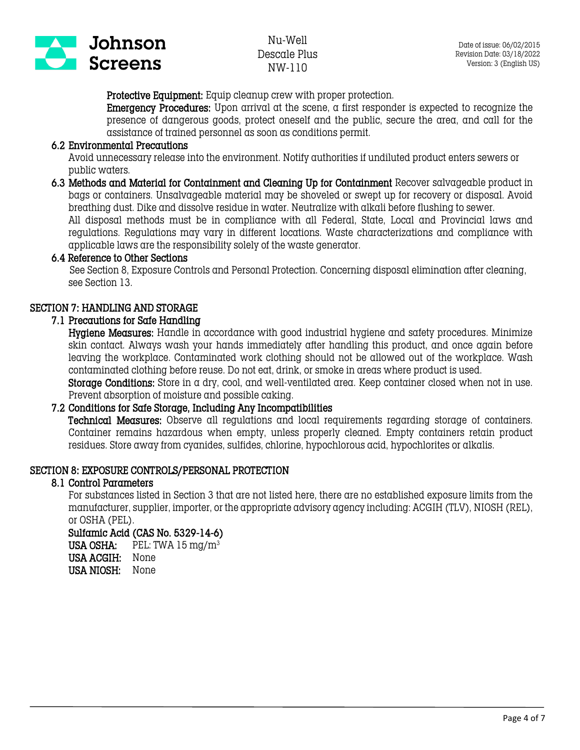

Protective Equipment: Equip cleanup crew with proper protection.

Emergency Procedures: Upon arrival at the scene, a first responder is expected to recognize the presence of dangerous goods, protect oneself and the public, secure the area, and call for the assistance of trained personnel as soon as conditions permit.

#### 6.2 Environmental Precautions

Avoid unnecessary release into the environment. Notify authorities if undiluted product enters sewers or public waters.

6.3 Methods and Material for Containment and Cleaning Up for Containment Recover salvageable product in bags or containers. Unsalvageable material may be shoveled or swept up for recovery or disposal. Avoid breathing dust. Dike and dissolve residue in water. Neutralize with alkali before flushing to sewer.

All disposal methods must be in compliance with all Federal, State, Local and Provincial laws and regulations. Regulations may vary in different locations. Waste characterizations and compliance with applicable laws are the responsibility solely of the waste generator.

#### 6.4 Reference to Other Sections

 See Section 8, Exposure Controls and Personal Protection. Concerning disposal elimination after cleaning, see Section 13.

#### SECTION 7: HANDLING AND STORAGE

#### 7.1 Precautions for Safe Handling

Hygiene Measures: Handle in accordance with good industrial hygiene and safety procedures. Minimize skin contact. Always wash your hands immediately after handling this product, and once again before leaving the workplace. Contaminated work clothing should not be allowed out of the workplace. Wash contaminated clothing before reuse. Do not eat, drink, or smoke in areas where product is used.

Storage Conditions: Store in a dry, cool, and well-ventilated area. Keep container closed when not in use. Prevent absorption of moisture and possible caking.

#### 7.2 Conditions for Safe Storage, Including Any Incompatibilities

Technical Measures: Observe all regulations and local requirements regarding storage of containers. Container remains hazardous when empty, unless properly cleaned. Empty containers retain product residues. Store away from cyanides, sulfides, chlorine, hypochlorous acid, hypochlorites or alkalis.

#### SECTION 8: EXPOSURE CONTROLS/PERSONAL PROTECTION

#### 8.1 Control Parameters

For substances listed in Section 3 that are not listed here, there are no established exposure limits from the manufacturer, supplier, importer, or the appropriate advisory agency including: ACGIH (TLV), NIOSH (REL), or OSHA (PEL).

#### Sulfamic Acid (CAS No. 5329-14-6)

USA OSHA: PEL: TWA  $15 \text{ mg/m}^3$ USA ACGIH: None USA NIOSH: None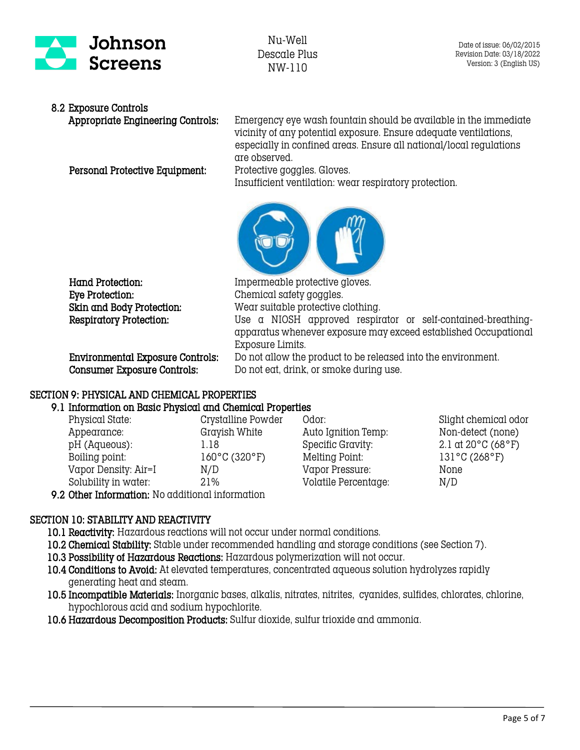

## 8.2 Exposure Controls

Personal Protective Equipment: Protective goggles. Gloves.

Appropriate Engineering Controls: Emergency eye wash fountain should be available in the immediate vicinity of any potential exposure. Ensure adequate ventilations, especially in confined areas. Ensure all national/local regulations are observed.

Insufficient ventilation: wear respiratory protection.



Hand Protection: Impermeable protective gloves. Eye Protection: Chemical safety goggles.

Skin and Body Protection: Wear suitable protective clothing. Respiratory Protection: Use a NIOSH approved respirator or self-contained-breathingapparatus whenever exposure may exceed established Occupational Exposure Limits.

 Environmental Exposure Controls: Do not allow the product to be released into the environment. Consumer Exposure Controls: Do not eat, drink, or smoke during use.

## SECTION 9: PHYSICAL AND CHEMICAL PROPERTIES

## 9.1 Information on Basic Physical and Chemical Properties

| Physical State:                                             | Crystalline Powder |
|-------------------------------------------------------------|--------------------|
| Appearance:                                                 | Grayish White      |
| pH (Aqueous):                                               | 1.18               |
| Boiling point:                                              | 160°C (320°F)      |
| Vapor Density: Air=I                                        | N/D                |
| Solubility in water:                                        | 21%                |
| $0.0$ ther Infermation: $N_{\alpha}$ additional infermation |                    |

Physical States: Crystalline Powder Odor: Slight chemical odor Auto Ignition Temp: Non-detect (none) Specific Gravity:  $2.1 \text{ at } 20^{\circ} \text{C } (68^{\circ} \text{F})$ Melting Point: 131°C (268°F) Vapor Pressure: None Volatile Percentage: N/D

9.2 Other Information: No additional information

## SECTION 10: STABILITY AND REACTIVITY

10.1 Reactivity: Hazardous reactions will not occur under normal conditions.

- 10.2 Chemical Stability: Stable under recommended handling and storage conditions (see Section 7).
- 10.3 Possibility of Hazardous Reactions: Hazardous polymerization will not occur.
- 10.4 Conditions to Avoid: At elevated temperatures, concentrated aqueous solution hydrolyzes rapidly generating heat and steam.
- 10.5 Incompatible Materials: Inorganic bases, alkalis, nitrates, nitrites, cyanides, sulfides, chlorates, chlorine, hypochlorous acid and sodium hypochlorite.
- 10.6 Hazardous Decomposition Products: Sulfur dioxide, sulfur trioxide and ammonia.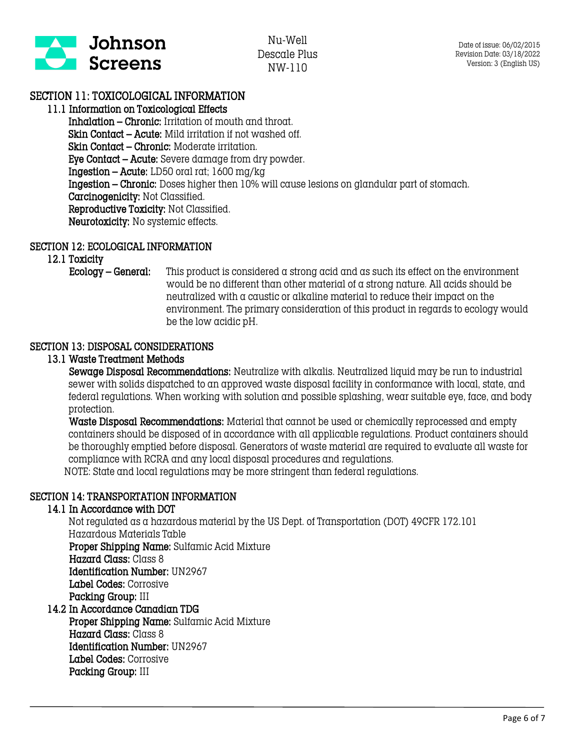

## SECTION 11: TOXICOLOGICAL INFORMATION

#### 11.1 Information on Toxicological Effects

Inhalation – Chronic: Irritation of mouth and throat. Skin Contact – Acute: Mild irritation if not washed off. Skin Contact – Chronic: Moderate irritation. Eye Contact – Acute: Severe damage from dry powder. Ingestion – Acute: LD50 oral rat; 1600 mg/kg Ingestion – Chronic: Doses higher then 10% will cause lesions on glandular part of stomach. Carcinogenicity: Not Classified. Reproductive Toxicity: Not Classified. Neurotoxicity: No systemic effects.

#### SECTION 12: ECOLOGICAL INFORMATION

12.1 Toxicity

Ecology – General: This product is considered a strong acid and as such its effect on the environment would be no different than other material of a strong nature. All acids should be neutralized with a caustic or alkaline material to reduce their impact on the environment. The primary consideration of this product in regards to ecology would be the low acidic pH.

#### SECTION 13: DISPOSAL CONSIDERATIONS

#### 13.1 Waste Treatment Methods

 Sewage Disposal Recommendations: Neutralize with alkalis. Neutralized liquid may be run to industrial sewer with solids dispatched to an approved waste disposal facility in conformance with local, state, and federal regulations. When working with solution and possible splashing, wear suitable eye, face, and body protection.

 Waste Disposal Recommendations: Material that cannot be used or chemically reprocessed and empty containers should be disposed of in accordance with all applicable regulations. Product containers should be thoroughly emptied before disposal. Generators of waste material are required to evaluate all waste for compliance with RCRA and any local disposal procedures and regulations. NOTE: State and local regulations may be more stringent than federal regulations.

## SECTION 14: TRANSPORTATION INFORMATION

#### 14.1 In Accordance with DOT

Not regulated as a hazardous material by the US Dept. of Transportation (DOT) 49CFR 172.101 Hazardous Materials Table Proper Shipping Name: Sulfamic Acid Mixture Hazard Class: Class 8

 Identification Number: UN2967 Label Codes: Corrosive Packing Group: III

#### 14.2 In Accordance Canadian TDG Proper Shipping Name: Sulfamic Acid Mixture Hazard Class: Class 8 Identification Number: UN2967 Label Codes: Corrosive Packing Group: III